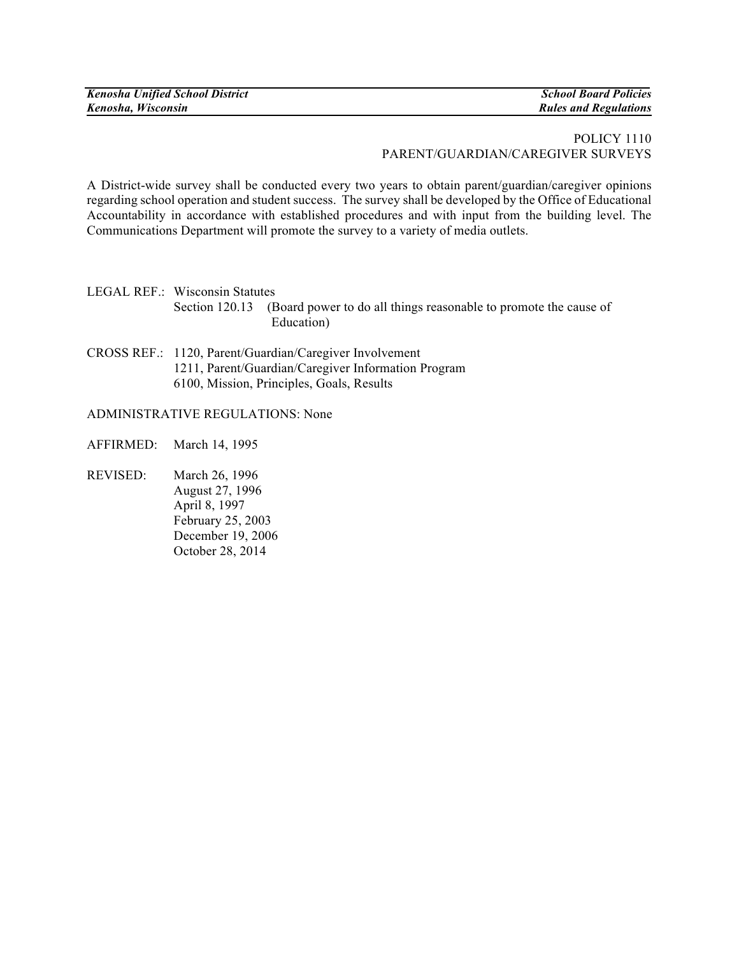## POLICY 1110 PARENT/GUARDIAN/CAREGIVER SURVEYS

A District-wide survey shall be conducted every two years to obtain parent/guardian/caregiver opinions regarding school operation and student success. The survey shall be developed by the Office of Educational Accountability in accordance with established procedures and with input from the building level. The Communications Department will promote the survey to a variety of media outlets.

LEGAL REF.: Wisconsin Statutes Section 120.13 (Board power to do all things reasonable to promote the cause of Education)

CROSS REF.: 1120, Parent/Guardian/Caregiver Involvement 1211, Parent/Guardian/Caregiver Information Program 6100, Mission, Principles, Goals, Results

## ADMINISTRATIVE REGULATIONS: None

AFFIRMED: March 14, 1995

REVISED: March 26, 1996 August 27, 1996 April 8, 1997 February 25, 2003 December 19, 2006 October 28, 2014